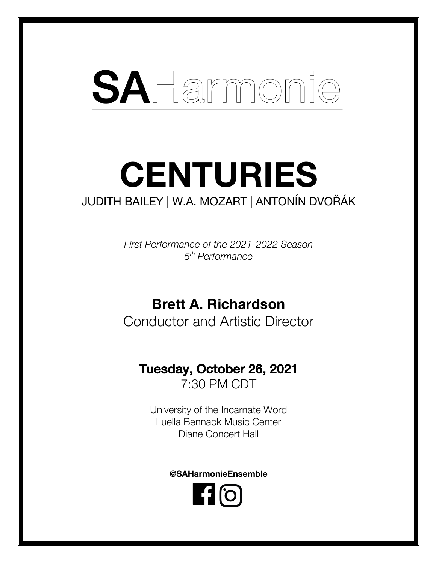# SAHarmonie

# **CENTURIES** JUDITH BAILEY | W.A. MOZART | ANTONÍN DVOŘÁK

*First Performance of the 2021-2022 Season 5th Performance*

## **Brett A. Richardson**

Conductor and Artistic Director

# Tuesday, October 26, 2021

7:30 PM CDT

University of the Incarnate Word Luella Bennack Music Center Diane Concert Hall

**@SAHarmonieEnsemble**

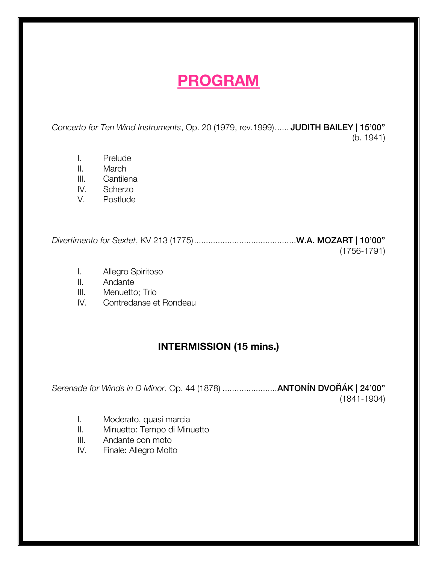# **PROGRAM**

*Concerto for Ten Wind Instruments*, Op. 20 (1979, rev.1999)...... JUDITH BAILEY | 15'00" (b. 1941)

- I. Prelude
- II. March
- III. Cantilena
- IV. Scherzo
- V. Postlude

*Divertimento for Sextet*, KV 213 (1775)...........................................W.A. MOZART | 10'00" (1756-1791)

- I. Allegro Spiritoso
- II. Andante
- III. Menuetto; Trio
- IV. Contredanse et Rondeau

## **INTERMISSION (15 mins.)**

*Serenade for Winds in D Minor*, Op. 44 (1878) .......................ANTONÍN DVOŘÁK | 24'00" (1841-1904)

- I. Moderato, quasi marcia
- II. Minuetto: Tempo di Minuetto
- III. Andante con moto
- IV. Finale: Allegro Molto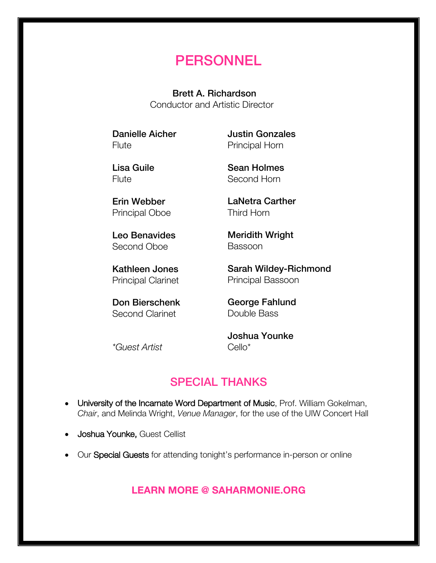## **PERSONNEL**

Brett A. Richardson Conductor and Artistic Director

Danielle Aicher Flute

Justin Gonzales Principal Horn

Lisa Guile Flute

Erin Webber Principal Oboe

Leo Benavides Second Oboe

Kathleen Jones Principal Clarinet

Don Bierschenk Second Clarinet

Sean Holmes Second Horn

LaNetra Carther Third Horn

Meridith Wright Bassoon

Sarah Wildey-Richmond Principal Bassoon

George Fahlund Double Bass

*\*Guest Artist*

Joshua Younke Cello\*

## SPECIAL THANKS

- University of the Incarnate Word Department of Music, Prof. William Gokelman, *Chair*, and Melinda Wright, *Venue Manager*, for the use of the UIW Concert Hall
- Joshua Younke, Guest Cellist
- Our Special Guests for attending tonight's performance in-person or online

**LEARN MORE @ SAHARMONIE.ORG**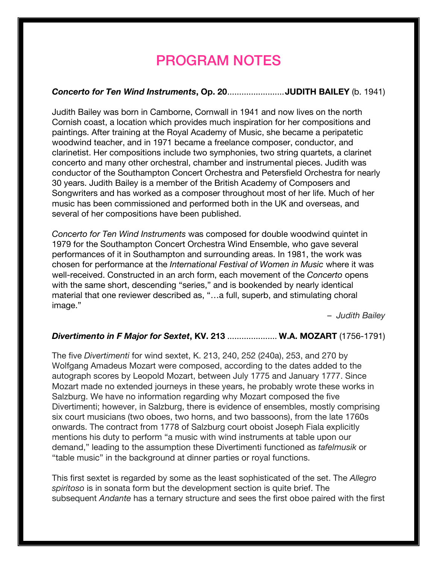## PROGRAM NOTES

### *Concerto for Ten Wind Instruments***, Op. 20**........................**JUDITH BAILEY** (b. 1941)

Judith Bailey was born in Camborne, Cornwall in 1941 and now lives on the north Cornish coast, a location which provides much inspiration for her compositions and paintings. After training at the Royal Academy of Music, she became a peripatetic woodwind teacher, and in 1971 became a freelance composer, conductor, and clarinetist. Her compositions include two symphonies, two string quartets, a clarinet concerto and many other orchestral, chamber and instrumental pieces. Judith was conductor of the Southampton Concert Orchestra and Petersfield Orchestra for nearly 30 years. Judith Bailey is a member of the British Academy of Composers and Songwriters and has worked as a composer throughout most of her life. Much of her music has been commissioned and performed both in the UK and overseas, and several of her compositions have been published.

*Concerto for Ten Wind Instruments* was composed for double woodwind quintet in 1979 for the Southampton Concert Orchestra Wind Ensemble, who gave several performances of it in Southampton and surrounding areas. In 1981, the work was chosen for performance at the *International Festival of Women in Music* where it was well-received. Constructed in an arch form, each movement of the *Concerto* opens with the same short, descending "series," and is bookended by nearly identical material that one reviewer described as, "…a full, superb, and stimulating choral image."

*– Judith Bailey*

#### *Divertimento in F Major for Sextet***, KV. 213** ..................... **W.A. MOZART** (1756-1791)

The five *Divertimenti* for wind sextet, K. 213, 240, 252 (240a), 253, and 270 by Wolfgang Amadeus Mozart were composed, according to the dates added to the autograph scores by Leopold Mozart, between July 1775 and January 1777. Since Mozart made no extended journeys in these years, he probably wrote these works in Salzburg. We have no information regarding why Mozart composed the five Divertimenti; however, in Salzburg, there is evidence of ensembles, mostly comprising six court musicians (two oboes, two horns, and two bassoons), from the late 1760s onwards. The contract from 1778 of Salzburg court oboist Joseph Fiala explicitly mentions his duty to perform "a music with wind instruments at table upon our demand," leading to the assumption these Divertimenti functioned as *tafelmusik* or "table music" in the background at dinner parties or royal functions.

This first sextet is regarded by some as the least sophisticated of the set. The *Allegro spiritoso* is in sonata form but the development section is quite brief. The subsequent *Andante* has a ternary structure and sees the first oboe paired with the first